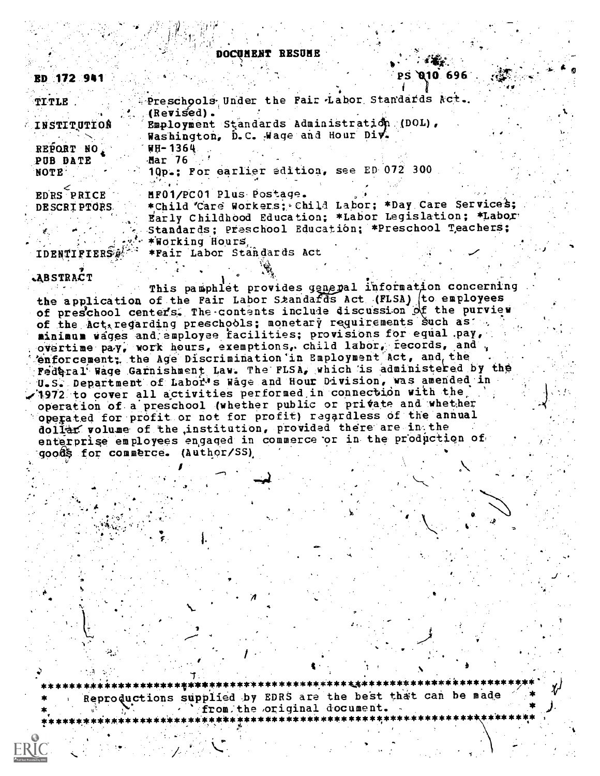### DOCUMENT RESUME

### 172 941 RD

### N 696

| TITLE           | Preschools Under the Fair Labor Standards Act.        |
|-----------------|-------------------------------------------------------|
|                 | (Revised).                                            |
| INSTITUTION     | Employment Standards Administration (DOL).            |
|                 | Washington, D.C. Wage and Hour Div.                   |
| REPORT NO       | WH-1364                                               |
| <b>PUB DATE</b> | Mar 76                                                |
| <b>NOTE</b>     | 10p.; For earlier edition, see ED 072 300             |
|                 |                                                       |
| EDRS PRICE      | MF01/PC01 Plus Postage.                               |
| DESCRIPTORS     | *Child Care Workers: Child Labor; *Day Care Services; |
|                 | Early Childhood Education; *Labor Legislation; *Labor |
|                 | Standards; Preschool Education; *Preschool Teachers;  |
|                 | *Working Hours,                                       |
| TRENTTETERSALT  | *Pair Labor Standards Act                             |

**BSTRA** 

This pamphlet provides genegal information concerning the application of the Fair Labor Standards Act (FLSA) to employees of preschool centers. The contents include discussion of the purview of the Act, regarding preschools; monetary requirements Such as ... minimum wages and employee facilities; provisions for equal pay, overtime pay, work hours, exemptions, child labor, records, and enforcement; the Age Discrimination in Employment Act, and, the Federal Wage Garnishment Law. The FLSA, which is administered by the U.S. Department of Labor's Wage and Hour Division, was amended in 1972 to cover all activities performed in connection with the operation of a preschool (whether public or private and whether operated for profit or not for profit) regardless of the annual dollar volume of the institution, provided there are in the enterprise employees engaged in commerce or in the production of goods for commerce. (Author/SS)

\*\*\*\*\*\*\*\*\*\*\*\*\*\* supplied by EDRS are the best that can be made Reproductions from the original document.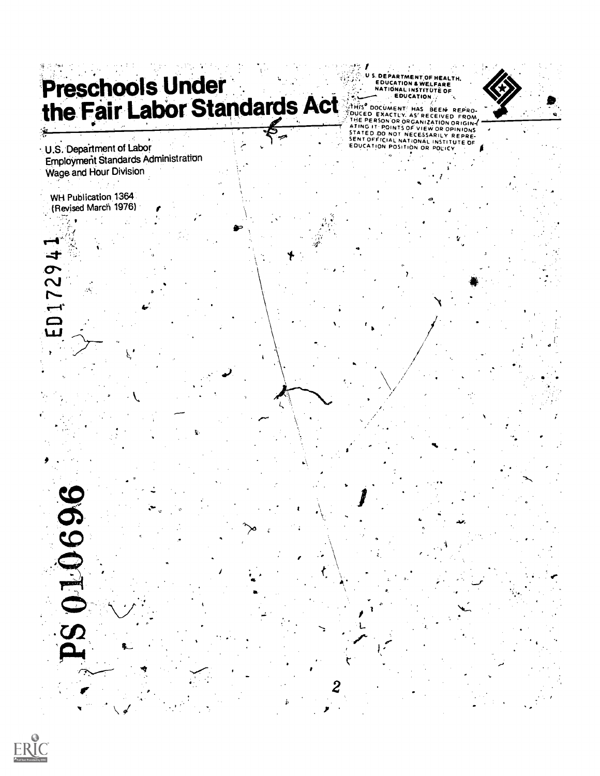

S. DEPARTMENT OF HEALTH. EDUCATION & WELFARE<br>NATIONAL INSTITUTE OF EDUCATION THIS DOCUMENT HAS BEEN REPRO-<br>SOUCED EXACTLY AS RECEIVED FROM<br>THE PERSON OR ORGANIZATION ORIGINA



U.S. Department of Labor **Employment Standards Administration** Wage and Hour Division

WH Publication 1364 (Revised March 1976)

ED17294

**SOLD696** 

ERIC





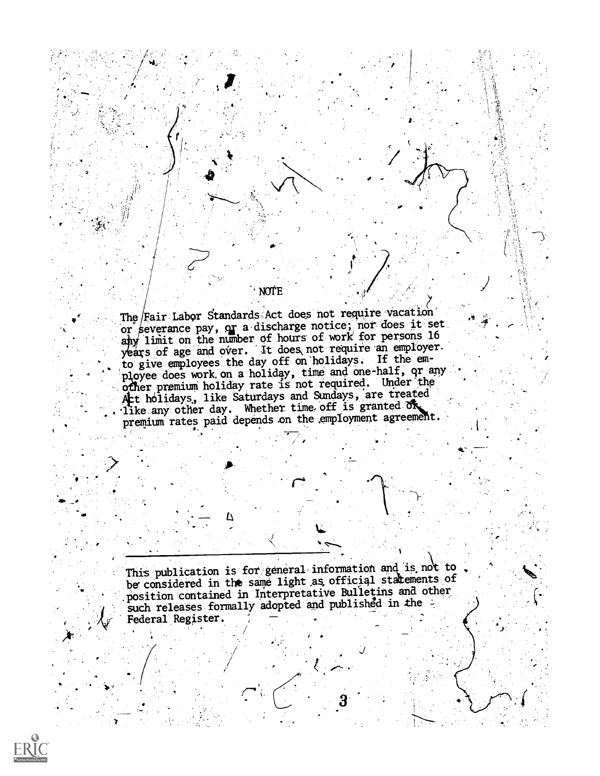The Fair Labor Standards Act does not require vacation or severance pay,  $\sigma$  a discharge notice; nor does it set  $\tau$ limit on the number of hours of work for persons  $10$ years of age and over. It does not require an employer. to give employees the day off on holidays. If the emp1oyee does work, on a holiday, time and one-half, qr any other premium holiday rate is not required. Under'the Act holidays, like Saturdays and Sundays, are treated like any other day. Whether time off is granted of premium rates paid depends on the employment agreement.

/

NOTE

This publication is for general information and is not to be considered in the same light as official statements of .position contained in Interpretative Bulletins and other such releases formally adopted and published in the Federal Register. /

I

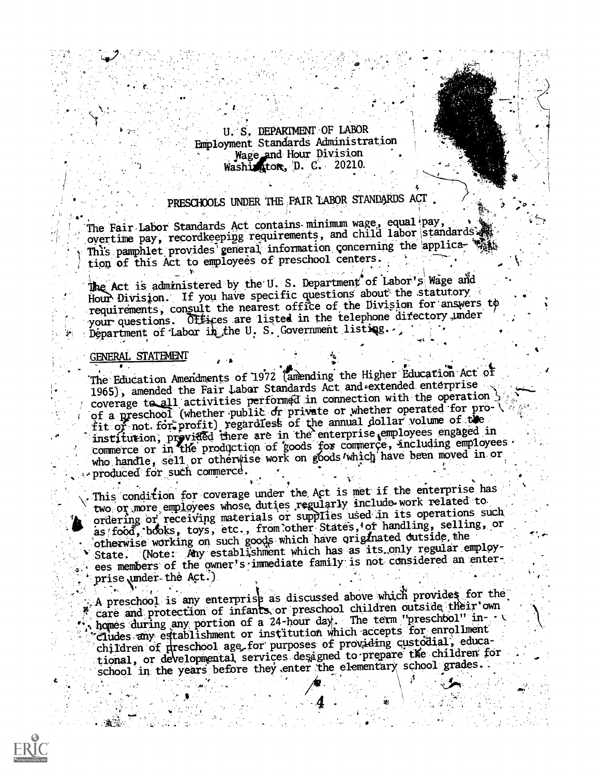### U. S. DEPARTMENT OF LABOR Employment Standards Administration Wage and Hour Division Washington,  $D. C. 20210$ .

# PRESCHOOLS UNDER THE FAIR LABOR STANDARDS ACT

The Fair Labor Standards Act contains minimum wage, equal pay, This pamphlet provides general information concerning the application of this Act to employees of preschool centers.

The Act is administered by the U.S. Department of Labor's Wage and Hour Division. If you have specific questions about the statutory requirements, consult the nearest office of the Division for answers to your questions. Offices are listed in the telephone directory under Department of Labor in the U.S. Government listing.

### **GENERAL STATEMENT**

The Education Amendments of 1972 (amending the Higher Education Act of 1965), amended the Fair Labor Standards Act and extended enterprise coverage to all activities performed in connection with the operation of a preschool (whether public or private or whether operated for profit of not for profit) regardless of the annual dollar volume of the institution, provided there are in the enterprise employees engaged in commerce or in the production of goods for commerce, including employees who handle, sell or otherwise work on goods which have been moved in or produced for such commerce.

This condition for coverage under the Act is met if the enterprise has two or more employees whose duties regularly include work related to ordering or receiving materials or supplies used in its operations such as food, books, toys, etc., from other States, or handling, selling, or otherwise working on such goods which have originated outside the State. (Note: Any establishment which has as its only regular employees members of the owner's immediate family is not considered an enterprise under the Act.)

A preschool is any enterprise as discussed above which provides for the care and protection of infants or preschool children outside their'own homes during any portion of a 24-hour day. The term "preschool" includes any establishment or institution which accepts for enrollment children of preschool age for purposes of providing custodial, educational, or developmental services designed to prepare the children for school in the years before they enter the elementary school grades.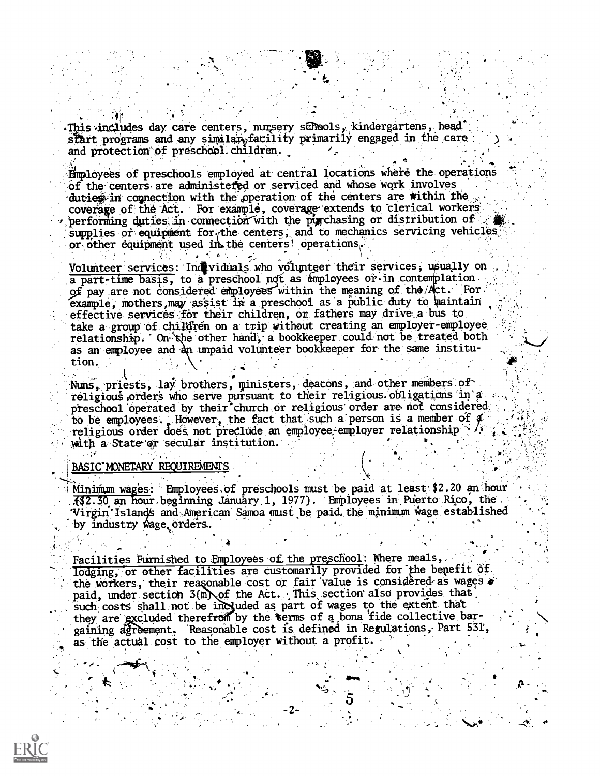This includes day care centers, nursery schools, kindergartens, head. start programs and any similar facility primarily engaged in the care and protection of preschool. children.

Employees of preschools employed at central locations where the operations of the centers are administered or serviced and whose work involves duties in connection with the operation of the centers are within the coverage of the Act. For example, coverage extends to clerical workers performing duties in connection with the purchasing or distribution of supplies or equipment for the centers, and to mechanics servicing vehicles. or other equipment used in the centers' operations.

 $\mathcal{L}^{\mathcal{A}}_{\mathcal{A}}(\mathcal{A})=\mathcal{L}^{\mathcal{A}}_{\mathcal{A}}(\mathcal{A})$ Volunteer services: Individuals who volunteer their services, usually on a part-time basis, to a preschool not as employees or in contemplation of pay are not considered employees within the meaning of the Act. For example, mothers, may assist in a preschool as a public duty to maintain effective services for their children, or fathers may drive a bus to take a group of children on a trip without creating an employer-employee relationship. On the other hand, a bookkeeper could not be treated both as an employee and an unpaid volunteer bookkeeper for the same institution.

Nuns, priests, lay brothers, ministers, deacons, and other members of religious orders who serve pursuant to their religious obligations in a preschool operated by their church or religious order are not considered to be employees. However, the fact that such a person is a member of  $\pi$ religious order does not preclude an employee-employer relationship : / with a State or secular institution.

BASIC MONETARY REQUIREMENTS

Minimum wages: Employees of preschools must be paid at least \$2.20 an hour  $\sqrt{62.30}$  an hour beginning January 1, 1977). Employees in Puerto Rico, the Virgin Islands and American Samoa must be paid the minimum wage established by industry wage orders.

Facilities Furnished to Employees of the preschool: Where meals,. lodging, or other facilities are customarily provided for the benefit of the workers, their reasonable cost or fair value is considered as wages paid, under section 3(m) of the Act. This section also provides that such costs shall not be included as part of wages to the extent that they are excluded therefrom by the terms of a bona fide collective bargaining agreement. Reasonable cost is defined in Regulations, Part 531, as the actual cost to the employer without a profit.

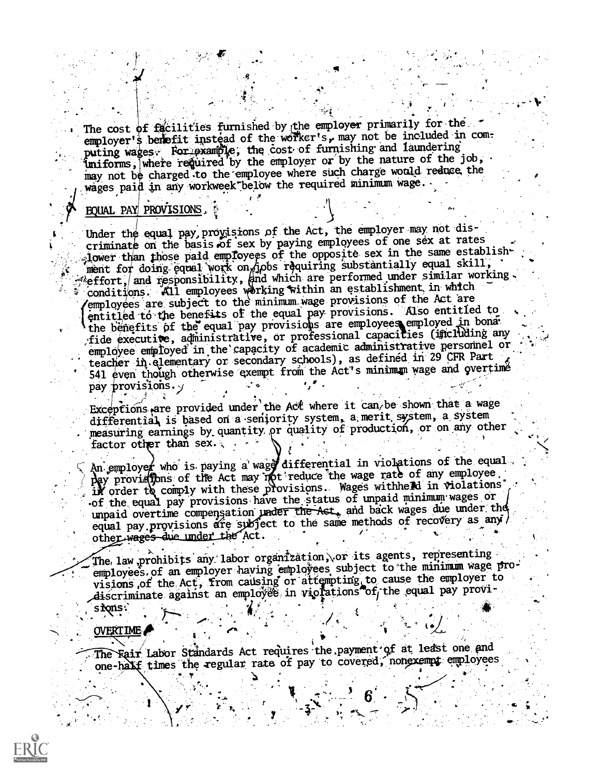The cost of facilities furnished by the employer primarily for the employer's benefit instead of the worker's, may not be included in computing wages. For example, the cost of furnishing and laundering imiforms, where required by the employer or by the nature of the job, may not be charged to the employee where such charge would reduce the wages paid in any workweek below the required minimum wage.

. .

## EQUAL PAY PROVISIONS,

Under the equal pay provisions of the Act, the employer may not discriminate on the basis of sex by paying employees of one sex at rates elower than those paid employees of the opposite sex in the same establishment for doing equal work on jobs requiring substantially equal skill,<br>seffort, and responsibility, and which are performed under similar working. employees are subject to the minimum wage provisions of the Act are entitled to the benefits of the equal pay provisions. Also entitled to the benefits of the equal pay provisions are employees employed in bonat fide executive, administrative, or professional capacilies (including any employee employed in the capacity of academic administrative personnel or teacher in elementary or secondary schools), as defined in 29 CFR Part 541 even though otherwise exempt from the Act's minimum wage and overtime pay provisions.  $\vee$ 

Exceptions are provided under the Act where it can, be shown that a wage differential is based on a seniority system, a merit system, a system measuring earnings by quantity or quality of production, or on any other factor other than sex.

An employer who is paying a wage differential in violations of the equal pay provisions of the Act may not reduce the wage rate of any employee. if order to comply with these provisions. Wages withherd in violations of the equal pay provisions have the status of unpaid minimum wages or unpaid overtime compensation under the Ast, and back wages due under the equal pay provisions are subject to the same methods of recovery as any other wages due under the Act.

The law prohibits any labor organization, or its agents, representing employees of an employer having employees subject to the minimum wage provisions of the Act, from causing or attempting to cause the employer to discriminate against an employee in violations of the equal pay provisions:

### **OVERTIME**

The Fair Labor Standards Act requires the payment of at least one and one-half times the regular rate of pay to covered, nonexempt employees

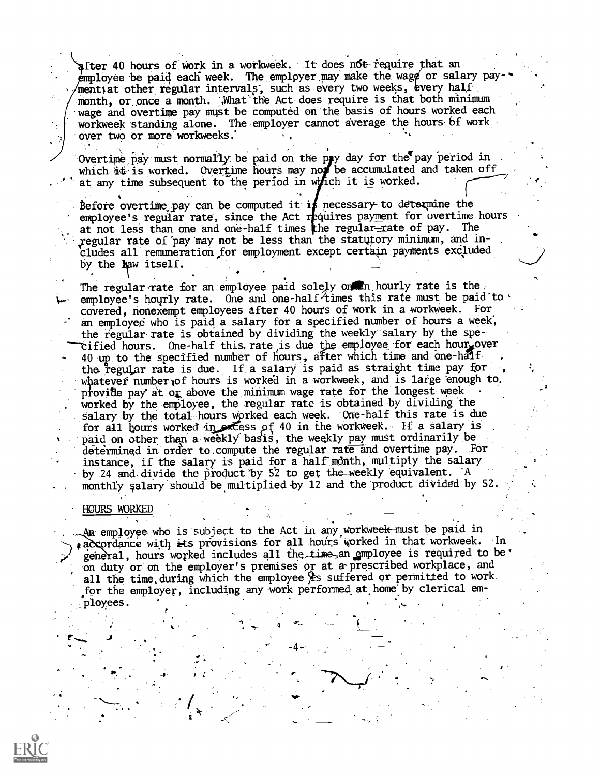after 40 hours of work in a workweek. It does not require that an employee be paid each week. The employer and make the wage of salary pay  $\epsilon$ mployee be paid each week. The employer may make the wage or salary paymonth, or once a month. What the Act does require is that both minimum wage and overtime pay must be computed on the basis of hours worked each workweek standing alone. The employer cannot average the hours of work over two or more workweeks.

Overtime pay must normally be paid on the pay day for the pay period in which it is worked. Overtime hours may not be accumulated and taken off  $\therefore$  at any time subsequent to the period in which it is worked.

1--7-7.

 $\bullet$  . The set of  $\bullet$ 

Before overtime, pay can be computed it if necessary to determine the employee's regular rate, since the Act requires payment for overtime hours at not less than one and one-half times the regular rate of pay. The regular rate of pay may not be less than the statutory minimum, and includes all remuneration .for employment except certain payments excluded by the haw itself.

The regular rate for an employee paid solely or an hourly rate is the employee's hourly rate. One and one-half times this rate must be paid to covered, nonexempt employees after 40 hours of work in a workweek. For an employee who is paid a salary for a specified number of hours a week; the regular rate is obtained by dividing the weekly salary by the spetified hours. One-half this rate is due the employee for each hour over 40 up to the specified number of hours, after which time and one-half the regular rate is due. If a salary is paid as straight time pay for whatever number of hours is worked in a workweek, and is large enough to. provide pay' at or above the minimum wage rate for the longest week worked by the employee, the regular rate is obtained by dividing the salary by the total hours worked each week. One-half this rate is due for all hours worked in excess of 40 in the workweek. If a salary is paid on other than a weekly basis, the weekly pay must ordinarily be determined in order to compute the regular rate and overtime pay. For instance, if the salary is paid for a half-month, multiply the salary by 24 and divide the product by 52 to get the weekly equivalent. 'A monthly salary should be, multiplied -by 12 and the product divided by 52.

### HOURS WORKED

. .

An employee who is subject to the Act in any workweek must be paid in accordance with its provisions for all hours worked in that workweek. In general, hours worked includes all the time an employee is required to be on duty or on the employer's premises or at a-prescribed workplace, and all the time, during which the employee  $\frac{1}{2}$ s suffered or permitted to work. for the employer, including any work performed at home by clerical employees.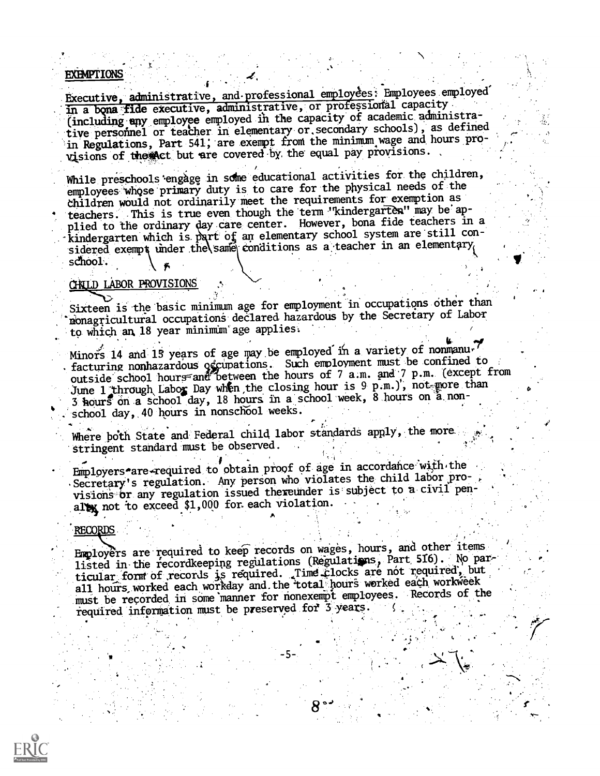### **EXEMPTIONS**

Executive, administrative, and professional employees: Employees employed in a bona fide executive, administrative, or professional capacity<br>https://www.capacity.of.academic.administratives.com (including any employee employed in the capacity of academic administrative personnel or teacher in elementary or secondary schools), as defined in Regulations, Part 541; are exempt from the minimum wage and hours pro $v$ isions of the Act but are covered by, the equal pay provisions.

While preschools engage in some educational activities for the children, employees whose primary duty is to care for the physical needs of the children would not ordinarily meet the requirements for exemption as teachers. This is true even though the term "kindergarten" may be applied to the ordinary day care center. However, bona fide teachers in a  $\cdot$ kindergarten which is part of an elementary school system are still considered exempt under the same conditions as a teacher in an elementary,  $\sim$ school.

### CHILD LABOR PROVISIONS

Sixteen is the basic minimum age for employment in occupations other than monagricultural occupations declared hazardous by the Secretary of Labor to which an 18 year minimum age applies.

Minors 14 and 15 years of age may be employed in a variety of nonmanu,  $\frac{u}{2}$ facturing nonhazardous  $q\zeta$ upations. Such employment must be confined to  $\cdots$ outside school hours and between the hours of 7 a.m. and 7 p.m. (except from  $\frac{1}{2}$  a.m.  $\frac{1}{2}$  p.m. (except from June 1 through Labox Day when the closing hour is 9 p.m.), not more than  $3$  hours on a school day, 18 hours in a school week, 8 hours on a non- $\bullet$ . school day, 40 hours in nonschool weeks.

film and the second

Where both State and Federal child labor standards apply, the more Stringent standard must be observed. .

Employers are required to obtain proof of age in accordance with the Secretary's regulation. Any person who violates the child labor provisions br any regulation issued thereunder is subject to a civil penalty not to exceed \$1,000 for each violation.

### **RECORDS**

Employers are required to keep records on wages, hours, and other items listed in the recordkeeping regulations (Regulations, Part 516). No particular form of records is required. Time clocks are not required, but all hours, worked each workday and the total hours worked each workweek must be recorded, in some manner for nonexempt employees. Records of the required information must be preserved for  $3$ -years.

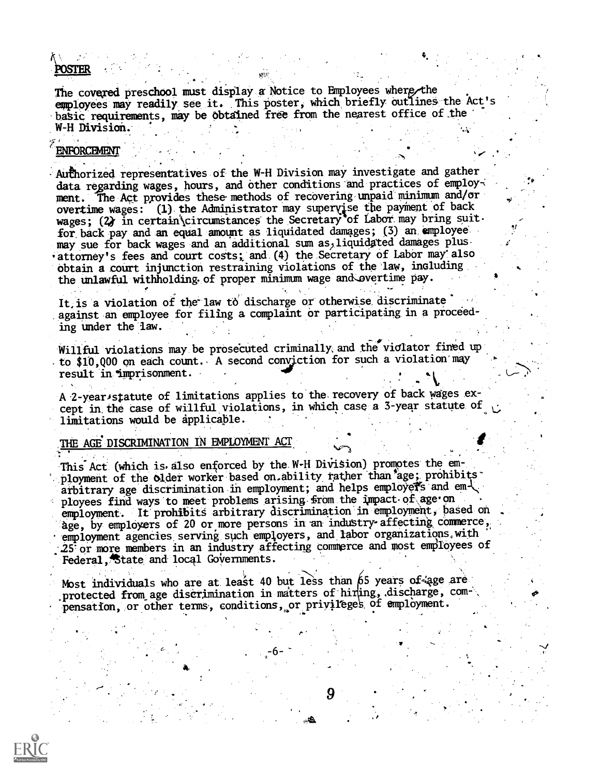The covered preschool must display a Notice to Employees where the employees may readily see it. This poster, which briefly outlines the Act's basic requirements, may be Obtained free from the nearest office of \_the W-H

### **ENFORCEMENT**

Authorized representatives of the W-H Division may investigate and gather data regarding wages, hours, and other conditions 'and practices of employment. The Act provides these methods of recovering unpaid minimum and/or overtime wages:  $(1)$  the Administrator may supervise the payment of back wages; (2) in certain\circumstances the Secretary of Labor may bring suit. for back pay and an equal amount as liquidated damages; (3) an employee. may sue for back wages and an additional sum as, liquidated damages plusattorney's fees and court costs; and (4) the Secretary of Labor may also obtain a court injunction restraining violations of the law, including. the unlawful withholding of proper minimum wage and overtime pay.

It is a violation of the law to discharge or otherwise discriminate against an employee for filing a complaint or participating in a proceed-<br>ing under the law.

Willful violations may be prosecuted criminally, and the violator fined up to  $$10,000$  on each count. A second conviction for such a violation'may result in.'imprisonment.

A 2-year statute of limitations applies to the recovery of back wages except in the case of willful violations, in which case a 3-year statute of  $\frac{1}{2}$ limitations would be applicable.

### THE AGE DISCRIMINATION IN EMPLOYMENT ACT

This Act (which is also enforced by the W-H Division) promotes the employment of the older worker based on.ability rather than age; prohibits arbitrary age discrimination in employment; and helps employers and em $\mathcal{L}$ ployees find ways to meet problems arising from the impact of age on employment. It prohibits arbitrary discrimination in employment, based on<br>age, by employers of 20 or more persons in an industry affecting commerce, employment agencies serving such employers, and labor organizations with 25' or more members in an industry affecting commerce and most employees of Federal, State and local Governments.

Federal, State and local Governments.<br>Most individuals who are at least 40 but less than 65 years of age are , protected from age discrimination in matters of hiring, discharge, come, pensation, or other terms, conditions, or privileges of employment.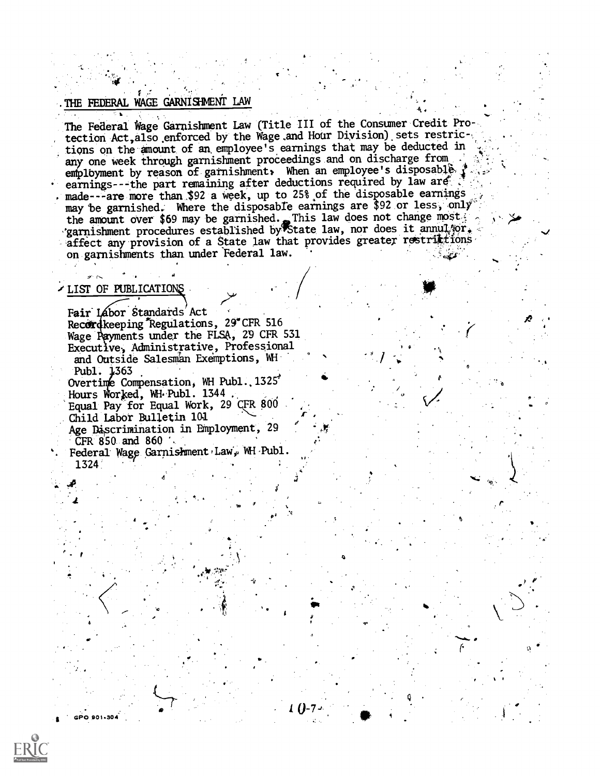# THE FEDERAL WAGE GARNISHMENT LAW

The Federal Wage Garnishment Law (Title III of the Consumer Credit Pro tection Act, also enforced by the Wage and Hour Division) sets restrictions on the amount of an employee's earnings that may be deducted in any one week through garnishment proceedings and on discharge from employment by reason of garnishment. When an employee's disposable  $\ddot{\xi}$  earnings---the part remaining after deductions required by law are. made---are more than \$92 a week, up to 25% of the disposable earnings may be garnished. Where the disposable earnings are \$92 or less, only the amount over \$69 may be garnished. This law does not change most affect any provision of a State law that provides greater restrictions on garnishments than under Federal law.

### ∠LIST OF PUBLICATION

1324

GPO 901-304

Fair Lábor Standards Act Recordkeeping Regulations, 29 CFR 516 Wage Payments under the FLSA, 29 CFR 531 Executive, Administrative, Professional and Outside Salesman Exemptions, WH Publ. 1363 Overtime Compensation, WH Publ., 1325 Hours Worked, WH. Publ. 1344 Equal Pay for Equal Work, 29 CFR 800 Child Labor Bulletin 101 Age Discrimination in Employment, 29  $CFR$  850 and 860 Federal Wage Garnishment Law, WH Publ.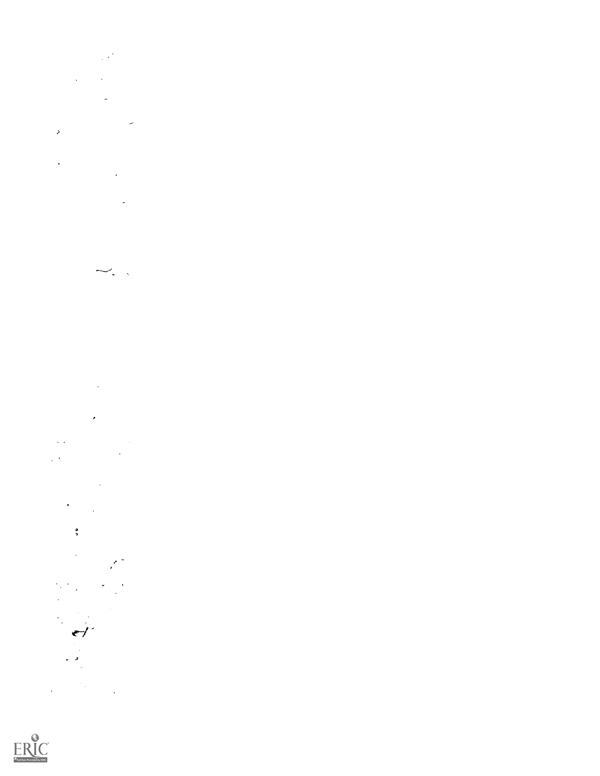$\frac{1}{2}$  ,  $\frac{1}{2}$  $\sim$   $\sim$ 

 $\lambda$ 

 $\hat{\boldsymbol{\beta}}$  $\hat{\boldsymbol{\epsilon}}$  $\frac{1}{\sqrt{2}}$ 

 $\overline{\phantom{0}}$  $\overline{\phantom{a}}$  $\sim$ 

 $\cdot$ 

 $\frac{\partial}{\partial t}$ 

م.<br>ا  $\ddot{\phantom{0}}$ 

 $\frac{1}{2}$  $\frac{1}{\sqrt{2}}$ 

 $\label{eq:2} \frac{1}{\sqrt{2}}\sum_{i=1}^n\frac{1}{\sqrt{2}}\sum_{i=1}^n\frac{1}{\sqrt{2}}\sum_{i=1}^n\frac{1}{\sqrt{2}}\sum_{i=1}^n\frac{1}{\sqrt{2}}\sum_{i=1}^n\frac{1}{\sqrt{2}}\sum_{i=1}^n\frac{1}{\sqrt{2}}\sum_{i=1}^n\frac{1}{\sqrt{2}}\sum_{i=1}^n\frac{1}{\sqrt{2}}\sum_{i=1}^n\frac{1}{\sqrt{2}}\sum_{i=1}^n\frac{1}{\sqrt{2}}\sum_{i=1}^n\frac{1$  $\ddot{\phantom{0}}$ 

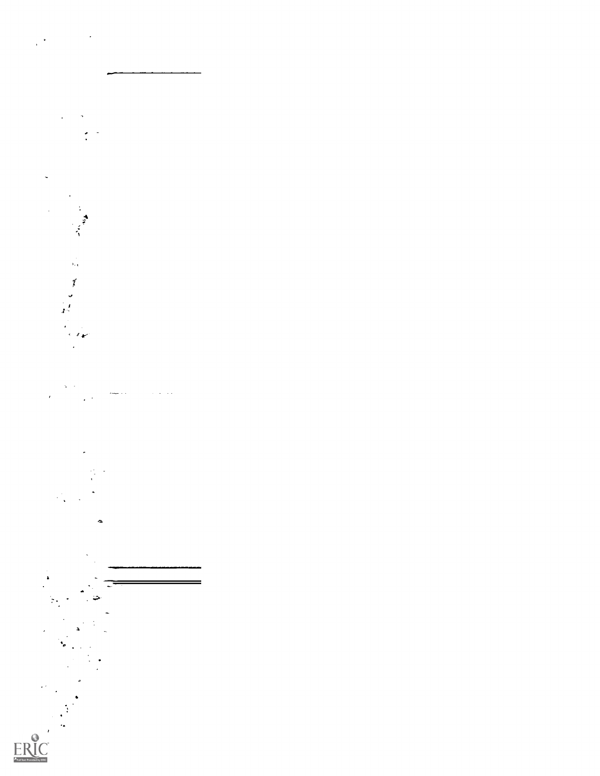















ERI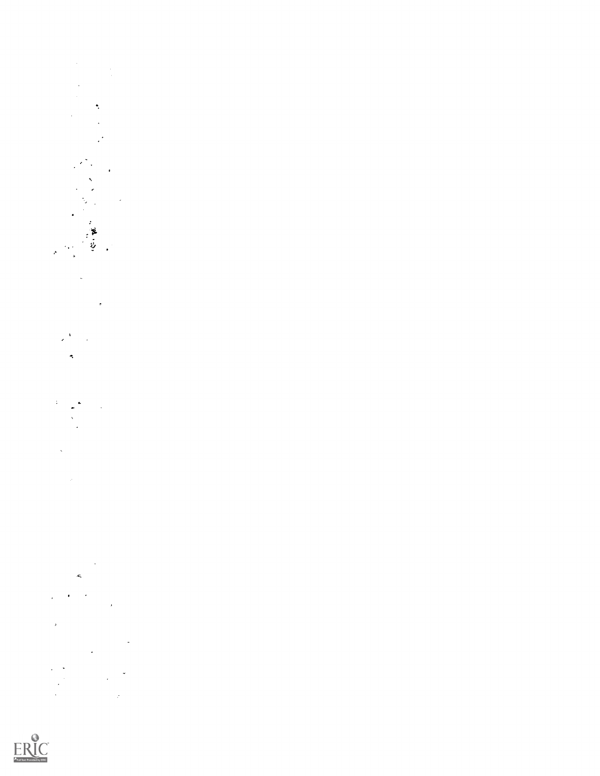

# $\ddot{\phantom{1}}$

 $\ddot{\cdot}$ 

 $\cdot$ 

 $\ddot{\phantom{0}}$ 

第三岁